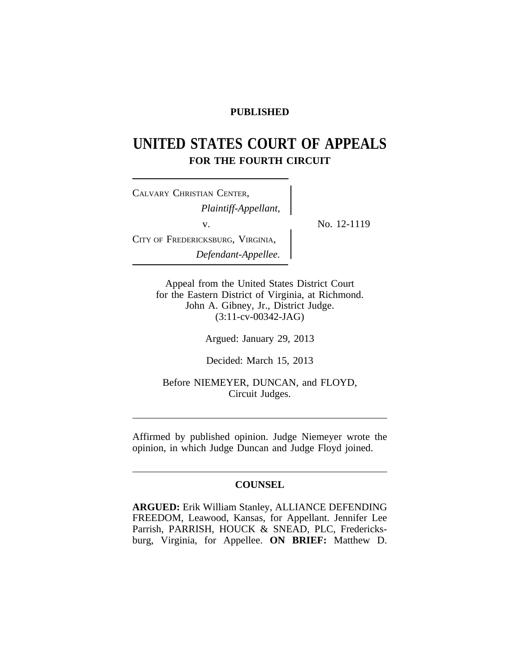## **PUBLISHED**

# **UNITED STATES COURT OF APPEALS FOR THE FOURTH CIRCUIT**

<sup>C</sup>ALVARY CHRISTIAN CENTER, *Plaintiff-Appellant,* v.  $\qquad \qquad \sum_{N=1}^{N} N_0$ . 12-1119 CITY OF FREDERICKSBURG, VIRGINIA, *Defendant-Appellee.*

Appeal from the United States District Court for the Eastern District of Virginia, at Richmond. John A. Gibney, Jr., District Judge. (3:11-cv-00342-JAG)

Argued: January 29, 2013

Decided: March 15, 2013

Before NIEMEYER, DUNCAN, and FLOYD, Circuit Judges.

Affirmed by published opinion. Judge Niemeyer wrote the opinion, in which Judge Duncan and Judge Floyd joined.

## **COUNSEL**

**ARGUED:** Erik William Stanley, ALLIANCE DEFENDING FREEDOM, Leawood, Kansas, for Appellant. Jennifer Lee Parrish, PARRISH, HOUCK & SNEAD, PLC, Fredericksburg, Virginia, for Appellee. **ON BRIEF:** Matthew D.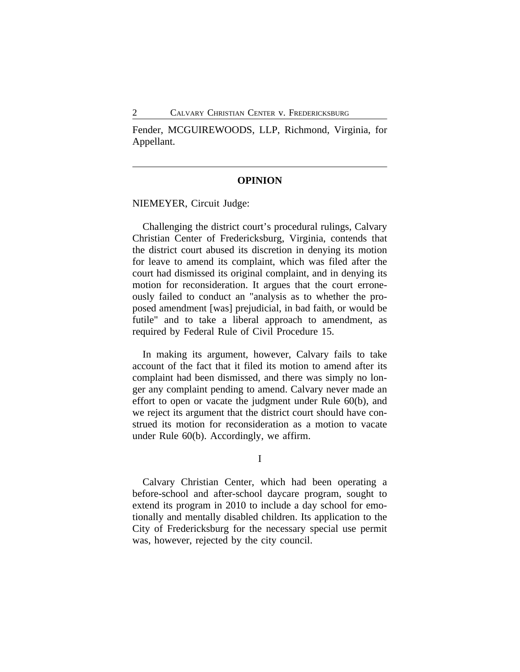Fender, MCGUIREWOODS, LLP, Richmond, Virginia, for Appellant.

### **OPINION**

NIEMEYER, Circuit Judge:

Challenging the district court's procedural rulings, Calvary Christian Center of Fredericksburg, Virginia, contends that the district court abused its discretion in denying its motion for leave to amend its complaint, which was filed after the court had dismissed its original complaint, and in denying its motion for reconsideration. It argues that the court erroneously failed to conduct an "analysis as to whether the proposed amendment [was] prejudicial, in bad faith, or would be futile" and to take a liberal approach to amendment, as required by Federal Rule of Civil Procedure 15.

In making its argument, however, Calvary fails to take account of the fact that it filed its motion to amend after its complaint had been dismissed, and there was simply no longer any complaint pending to amend. Calvary never made an effort to open or vacate the judgment under Rule 60(b), and we reject its argument that the district court should have construed its motion for reconsideration as a motion to vacate under Rule 60(b). Accordingly, we affirm.

I

Calvary Christian Center, which had been operating a before-school and after-school daycare program, sought to extend its program in 2010 to include a day school for emotionally and mentally disabled children. Its application to the City of Fredericksburg for the necessary special use permit was, however, rejected by the city council.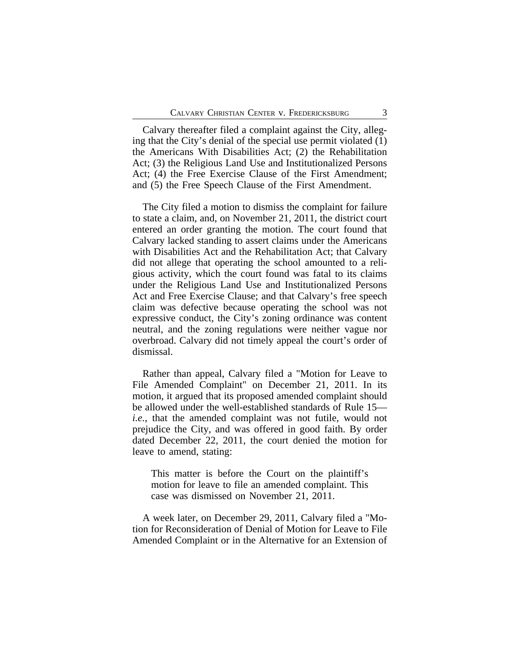Calvary thereafter filed a complaint against the City, alleging that the City's denial of the special use permit violated (1) the Americans With Disabilities Act; (2) the Rehabilitation Act; (3) the Religious Land Use and Institutionalized Persons Act; (4) the Free Exercise Clause of the First Amendment; and (5) the Free Speech Clause of the First Amendment.

The City filed a motion to dismiss the complaint for failure to state a claim, and, on November 21, 2011, the district court entered an order granting the motion. The court found that Calvary lacked standing to assert claims under the Americans with Disabilities Act and the Rehabilitation Act; that Calvary did not allege that operating the school amounted to a religious activity, which the court found was fatal to its claims under the Religious Land Use and Institutionalized Persons Act and Free Exercise Clause; and that Calvary's free speech claim was defective because operating the school was not expressive conduct, the City's zoning ordinance was content neutral, and the zoning regulations were neither vague nor overbroad. Calvary did not timely appeal the court's order of dismissal.

Rather than appeal, Calvary filed a "Motion for Leave to File Amended Complaint" on December 21, 2011. In its motion, it argued that its proposed amended complaint should be allowed under the well-established standards of Rule 15 *i.e.*, that the amended complaint was not futile, would not prejudice the City, and was offered in good faith. By order dated December 22, 2011, the court denied the motion for leave to amend, stating:

This matter is before the Court on the plaintiff's motion for leave to file an amended complaint. This case was dismissed on November 21, 2011.

A week later, on December 29, 2011, Calvary filed a "Motion for Reconsideration of Denial of Motion for Leave to File Amended Complaint or in the Alternative for an Extension of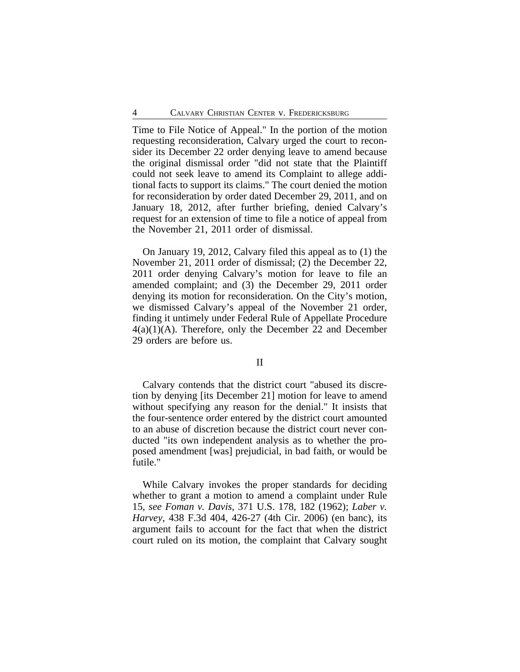Time to File Notice of Appeal." In the portion of the motion requesting reconsideration, Calvary urged the court to reconsider its December 22 order denying leave to amend because the original dismissal order "did not state that the Plaintiff could not seek leave to amend its Complaint to allege additional facts to support its claims." The court denied the motion for reconsideration by order dated December 29, 2011, and on January 18, 2012, after further briefing, denied Calvary's request for an extension of time to file a notice of appeal from the November 21, 2011 order of dismissal.

On January 19, 2012, Calvary filed this appeal as to (1) the November 21, 2011 order of dismissal; (2) the December 22, 2011 order denying Calvary's motion for leave to file an amended complaint; and (3) the December 29, 2011 order denying its motion for reconsideration. On the City's motion, we dismissed Calvary's appeal of the November 21 order, finding it untimely under Federal Rule of Appellate Procedure  $4(a)(1)(A)$ . Therefore, only the December 22 and December 29 orders are before us.

### II

Calvary contends that the district court "abused its discretion by denying [its December 21] motion for leave to amend without specifying any reason for the denial." It insists that the four-sentence order entered by the district court amounted to an abuse of discretion because the district court never conducted "its own independent analysis as to whether the proposed amendment [was] prejudicial, in bad faith, or would be futile."

While Calvary invokes the proper standards for deciding whether to grant a motion to amend a complaint under Rule 15, *see Foman v. Davis*, 371 U.S. 178, 182 (1962); *Laber v. Harvey*, 438 F.3d 404, 426-27 (4th Cir. 2006) (en banc), its argument fails to account for the fact that when the district court ruled on its motion, the complaint that Calvary sought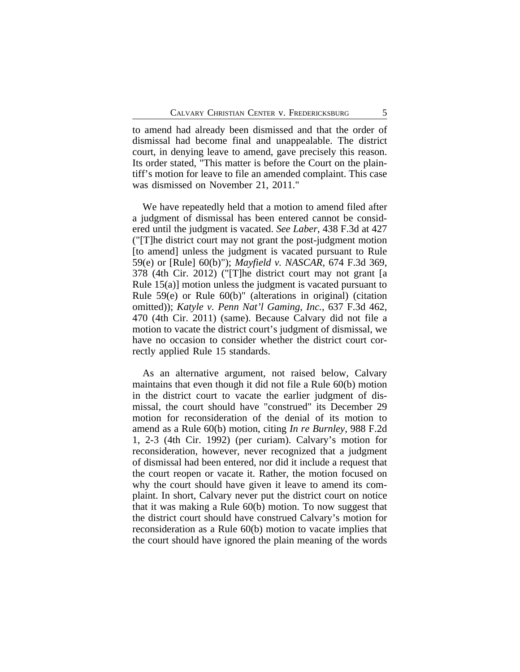to amend had already been dismissed and that the order of dismissal had become final and unappealable. The district court, in denying leave to amend, gave precisely this reason. Its order stated, "This matter is before the Court on the plaintiff's motion for leave to file an amended complaint. This case was dismissed on November 21, 2011."

We have repeatedly held that a motion to amend filed after a judgment of dismissal has been entered cannot be considered until the judgment is vacated. *See Laber*, 438 F.3d at 427 ("[T]he district court may not grant the post-judgment motion [to amend] unless the judgment is vacated pursuant to Rule 59(e) or [Rule] 60(b)"); *Mayfield v. NASCAR*, 674 F.3d 369, 378 (4th Cir. 2012) ("[T]he district court may not grant [a Rule 15(a)] motion unless the judgment is vacated pursuant to Rule 59(e) or Rule 60(b)" (alterations in original) (citation omitted)); *Katyle v. Penn Nat'l Gaming, Inc.*, 637 F.3d 462, 470 (4th Cir. 2011) (same). Because Calvary did not file a motion to vacate the district court's judgment of dismissal, we have no occasion to consider whether the district court correctly applied Rule 15 standards.

As an alternative argument, not raised below, Calvary maintains that even though it did not file a Rule 60(b) motion in the district court to vacate the earlier judgment of dismissal, the court should have "construed" its December 29 motion for reconsideration of the denial of its motion to amend as a Rule 60(b) motion, citing *In re Burnley*, 988 F.2d 1, 2-3 (4th Cir. 1992) (per curiam). Calvary's motion for reconsideration, however, never recognized that a judgment of dismissal had been entered, nor did it include a request that the court reopen or vacate it. Rather, the motion focused on why the court should have given it leave to amend its complaint. In short, Calvary never put the district court on notice that it was making a Rule 60(b) motion. To now suggest that the district court should have construed Calvary's motion for reconsideration as a Rule 60(b) motion to vacate implies that the court should have ignored the plain meaning of the words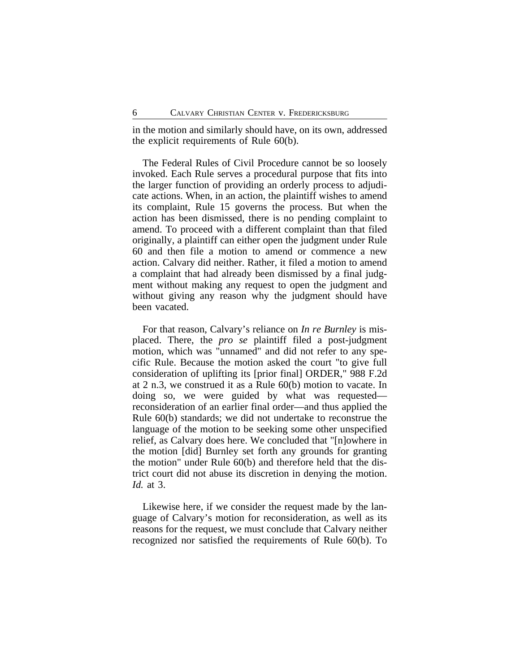in the motion and similarly should have, on its own, addressed the explicit requirements of Rule 60(b).

The Federal Rules of Civil Procedure cannot be so loosely invoked. Each Rule serves a procedural purpose that fits into the larger function of providing an orderly process to adjudicate actions. When, in an action, the plaintiff wishes to amend its complaint, Rule 15 governs the process. But when the action has been dismissed, there is no pending complaint to amend. To proceed with a different complaint than that filed originally, a plaintiff can either open the judgment under Rule 60 and then file a motion to amend or commence a new action. Calvary did neither. Rather, it filed a motion to amend a complaint that had already been dismissed by a final judgment without making any request to open the judgment and without giving any reason why the judgment should have been vacated.

For that reason, Calvary's reliance on *In re Burnley* is misplaced. There, the *pro se* plaintiff filed a post-judgment motion, which was "unnamed" and did not refer to any specific Rule. Because the motion asked the court "to give full consideration of uplifting its [prior final] ORDER," 988 F.2d at 2 n.3, we construed it as a Rule 60(b) motion to vacate. In doing so, we were guided by what was requested reconsideration of an earlier final order—and thus applied the Rule 60(b) standards; we did not undertake to reconstrue the language of the motion to be seeking some other unspecified relief, as Calvary does here. We concluded that "[n]owhere in the motion [did] Burnley set forth any grounds for granting the motion" under Rule 60(b) and therefore held that the district court did not abuse its discretion in denying the motion. *Id.* at 3.

Likewise here, if we consider the request made by the language of Calvary's motion for reconsideration, as well as its reasons for the request, we must conclude that Calvary neither recognized nor satisfied the requirements of Rule 60(b). To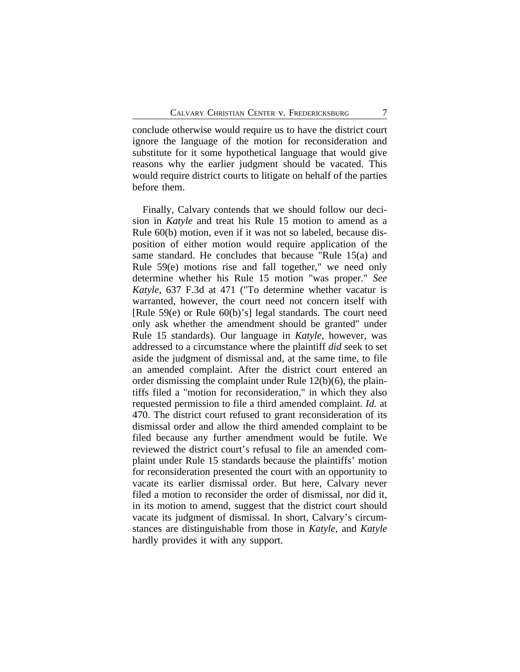conclude otherwise would require us to have the district court ignore the language of the motion for reconsideration and substitute for it some hypothetical language that would give reasons why the earlier judgment should be vacated. This would require district courts to litigate on behalf of the parties before them.

Finally, Calvary contends that we should follow our decision in *Katyle* and treat his Rule 15 motion to amend as a Rule 60(b) motion, even if it was not so labeled, because disposition of either motion would require application of the same standard. He concludes that because "Rule 15(a) and Rule 59(e) motions rise and fall together," we need only determine whether his Rule 15 motion "was proper." *See Katyle*, 637 F.3d at 471 ("To determine whether vacatur is warranted, however, the court need not concern itself with [Rule 59(e) or Rule 60(b)'s] legal standards. The court need only ask whether the amendment should be granted" under Rule 15 standards). Our language in *Katyle*, however, was addressed to a circumstance where the plaintiff *did* seek to set aside the judgment of dismissal and, at the same time, to file an amended complaint. After the district court entered an order dismissing the complaint under Rule 12(b)(6), the plaintiffs filed a "motion for reconsideration," in which they also requested permission to file a third amended complaint. *Id.* at 470. The district court refused to grant reconsideration of its dismissal order and allow the third amended complaint to be filed because any further amendment would be futile. We reviewed the district court's refusal to file an amended complaint under Rule 15 standards because the plaintiffs' motion for reconsideration presented the court with an opportunity to vacate its earlier dismissal order. But here, Calvary never filed a motion to reconsider the order of dismissal, nor did it, in its motion to amend, suggest that the district court should vacate its judgment of dismissal. In short, Calvary's circumstances are distinguishable from those in *Katyle*, and *Katyle* hardly provides it with any support.